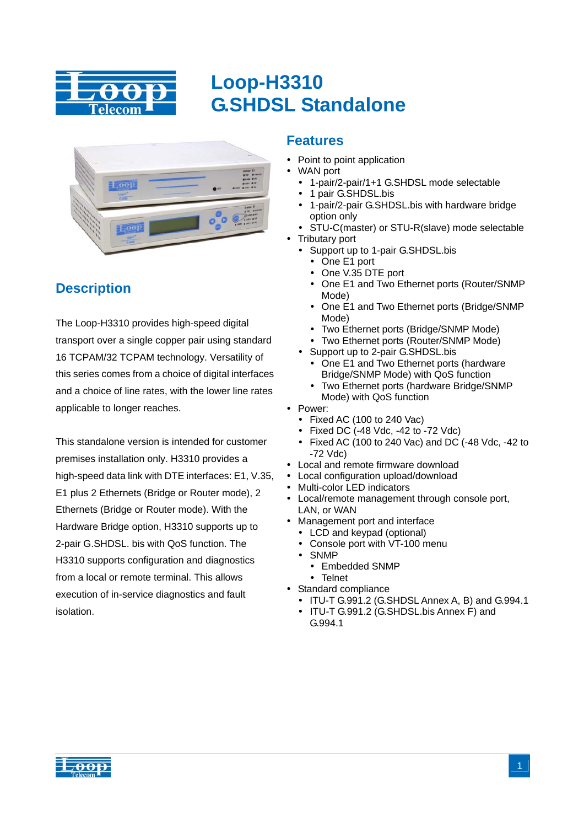

## **Loop-H3310 G.SHDSL Standalone**



## **Description**

The Loop-H3310 provides high-speed digital transport over a single copper pair using standard 16 TCPAM/32 TCPAM technology. Versatility of this series comes from a choice of digital interfaces and a choice of line rates, with the lower line rates applicable to longer reaches.

This standalone version is intended for customer premises installation only. H3310 provides a high-speed data link with DTE interfaces: E1, V.35, E1 plus 2 Ethernets (Bridge or Router mode), 2 Ethernets (Bridge or Router mode). With the Hardware Bridge option, H3310 supports up to 2-pair G.SHDSL. bis with QoS function. The H3310 supports configuration and diagnostics from a local or remote terminal. This allows execution of in-service diagnostics and fault isolation.

## **Features**

- Point to point application
- WAN port
	- 1-pair/2-pair/1+1 G.SHDSL mode selectable
	- 1 pair G.SHDSL.bis
	- 1-pair/2-pair G.SHDSL.bis with hardware bridge option only
- STU-C(master) or STU-R(slave) mode selectable
- **Tributary port** 
	- Support up to 1-pair G.SHDSL.bis
		- One E1 port
		- One V.35 DTE port
		- One E1 and Two Ethernet ports (Router/SNMP Mode)
		- One E1 and Two Ethernet ports (Bridge/SNMP Mode)
		- Two Ethernet ports (Bridge/SNMP Mode)
	- Two Ethernet ports (Router/SNMP Mode)
	- Support up to 2-pair G.SHDSL.bis
		- One E1 and Two Ethernet ports (hardware Bridge/SNMP Mode) with QoS function
		- Two Ethernet ports (hardware Bridge/SNMP Mode) with QoS function
- Power:
	- Fixed AC (100 to 240 Vac)
	- $\bullet$  Fixed DC (-48 Vdc, -42 to -72 Vdc)
	- y Fixed AC (100 to 240 Vac) and DC (-48 Vdc, -42 to -72 Vdc)
- Local and remote firmware download
- Local configuration upload/download
- Multi-color LED indicators
- Local/remote management through console port, LAN, or WAN
- Management port and interface
	- LCD and keypad (optional)
	- Console port with VT-100 menu
	- SNMP
		- Embedded SNMP
		- Telnet
- Standard compliance
	- ITU-T G.991.2 (G.SHDSL Annex A, B) and G.994.1
	- ITU-T G.991.2 (G.SHDSL.bis Annex F) and G.994.1

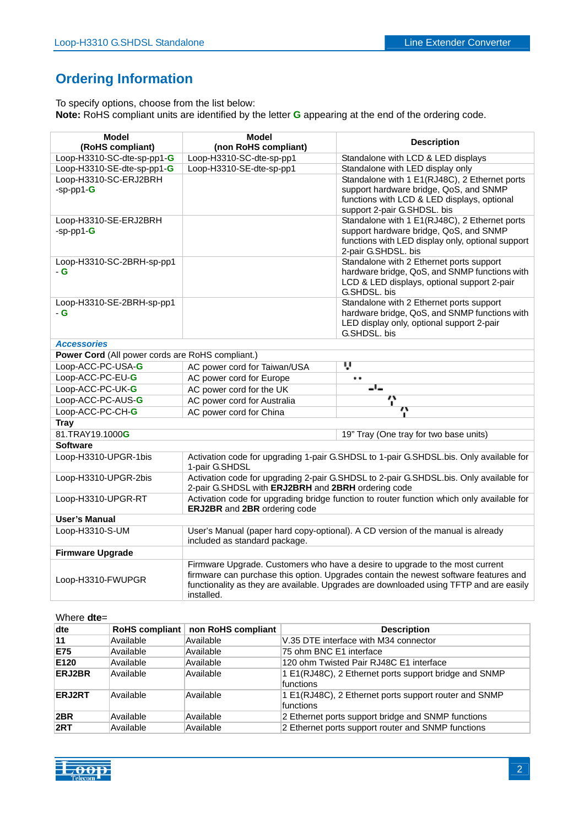## **Ordering Information**

To specify options, choose from the list below: **Note:** RoHS compliant units are identified by the letter **G** appearing at the end of the ordering code.

| <b>Model</b>                                     | <b>Model</b>                                                                                                                                 | <b>Description</b>                                                                                                                                                             |  |
|--------------------------------------------------|----------------------------------------------------------------------------------------------------------------------------------------------|--------------------------------------------------------------------------------------------------------------------------------------------------------------------------------|--|
| (RoHS compliant)                                 | (non RoHS compliant)                                                                                                                         |                                                                                                                                                                                |  |
| Loop-H3310-SC-dte-sp-pp1-G                       | Loop-H3310-SC-dte-sp-pp1                                                                                                                     | Standalone with LCD & LED displays                                                                                                                                             |  |
| Loop-H3310-SE-dte-sp-pp1-G                       | Loop-H3310-SE-dte-sp-pp1                                                                                                                     | Standalone with LED display only                                                                                                                                               |  |
| Loop-H3310-SC-ERJ2BRH<br>$-sp$ -pp1- $G$         |                                                                                                                                              | Standalone with 1 E1(RJ48C), 2 Ethernet ports<br>support hardware bridge, QoS, and SNMP                                                                                        |  |
|                                                  |                                                                                                                                              | functions with LCD & LED displays, optional                                                                                                                                    |  |
|                                                  |                                                                                                                                              | support 2-pair G.SHDSL. bis                                                                                                                                                    |  |
| Loop-H3310-SE-ERJ2BRH                            |                                                                                                                                              | Standalone with 1 E1(RJ48C), 2 Ethernet ports                                                                                                                                  |  |
| $-sp$ -pp1- $G$                                  |                                                                                                                                              | support hardware bridge, QoS, and SNMP                                                                                                                                         |  |
|                                                  |                                                                                                                                              | functions with LED display only, optional support                                                                                                                              |  |
|                                                  |                                                                                                                                              | 2-pair G.SHDSL. bis                                                                                                                                                            |  |
| Loop-H3310-SC-2BRH-sp-pp1                        |                                                                                                                                              | Standalone with 2 Ethernet ports support                                                                                                                                       |  |
| - G                                              |                                                                                                                                              | hardware bridge, QoS, and SNMP functions with<br>LCD & LED displays, optional support 2-pair                                                                                   |  |
|                                                  |                                                                                                                                              | G.SHDSL, bis                                                                                                                                                                   |  |
| Loop-H3310-SE-2BRH-sp-pp1                        |                                                                                                                                              | Standalone with 2 Ethernet ports support                                                                                                                                       |  |
| - G                                              |                                                                                                                                              | hardware bridge, QoS, and SNMP functions with                                                                                                                                  |  |
|                                                  |                                                                                                                                              | LED display only, optional support 2-pair                                                                                                                                      |  |
|                                                  |                                                                                                                                              | G.SHDSL, bis                                                                                                                                                                   |  |
| <b>Accessories</b>                               |                                                                                                                                              |                                                                                                                                                                                |  |
| Power Cord (All power cords are RoHS compliant.) |                                                                                                                                              |                                                                                                                                                                                |  |
| Loop-ACC-PC-USA-G                                | AC power cord for Taiwan/USA                                                                                                                 | ù                                                                                                                                                                              |  |
| Loop-ACC-PC-EU-G                                 | AC power cord for Europe                                                                                                                     | <br>-'-                                                                                                                                                                        |  |
| Loop-ACC-PC-UK-G                                 | AC power cord for the UK                                                                                                                     |                                                                                                                                                                                |  |
| Loop-ACC-PC-AUS-G                                | AC power cord for Australia                                                                                                                  | Ÿ<br>$\cdots$                                                                                                                                                                  |  |
| Loop-ACC-PC-CH-G                                 | AC power cord for China                                                                                                                      |                                                                                                                                                                                |  |
| <b>Tray</b>                                      |                                                                                                                                              |                                                                                                                                                                                |  |
| 81.TRAY19.1000G                                  |                                                                                                                                              | 19" Tray (One tray for two base units)                                                                                                                                         |  |
| <b>Software</b>                                  |                                                                                                                                              |                                                                                                                                                                                |  |
| Loop-H3310-UPGR-1bis                             | 1-pair G.SHDSL                                                                                                                               | Activation code for upgrading 1-pair G.SHDSL to 1-pair G.SHDSL.bis. Only available for                                                                                         |  |
| Loop-H3310-UPGR-2bis                             | Activation code for upgrading 2-pair G.SHDSL to 2-pair G.SHDSL.bis. Only available for<br>2-pair G.SHDSL with ERJ2BRH and 2BRH ordering code |                                                                                                                                                                                |  |
| Loop-H3310-UPGR-RT                               |                                                                                                                                              | Activation code for upgrading bridge function to router function which only available for                                                                                      |  |
|                                                  | ERJ2BR and 2BR ordering code                                                                                                                 |                                                                                                                                                                                |  |
| <b>User's Manual</b>                             |                                                                                                                                              |                                                                                                                                                                                |  |
| Loop-H3310-S-UM                                  | User's Manual (paper hard copy-optional). A CD version of the manual is already<br>included as standard package.                             |                                                                                                                                                                                |  |
| <b>Firmware Upgrade</b>                          |                                                                                                                                              |                                                                                                                                                                                |  |
|                                                  |                                                                                                                                              | Firmware Upgrade. Customers who have a desire to upgrade to the most current                                                                                                   |  |
| Loop-H3310-FWUPGR                                | installed.                                                                                                                                   | firmware can purchase this option. Upgrades contain the newest software features and<br>functionality as they are available. Upgrades are downloaded using TFTP and are easily |  |

#### Where **dte**=

| dte           |           | RoHS compliant   non RoHS compliant | <b>Description</b>                                                 |
|---------------|-----------|-------------------------------------|--------------------------------------------------------------------|
| 11            | Available | Available                           | V.35 DTE interface with M34 connector                              |
| E75           | Available | Available                           | 75 ohm BNC E1 interface                                            |
| E120          | Available | Available                           | 120 ohm Twisted Pair RJ48C E1 interface                            |
| <b>ERJ2BR</b> | Available | Available                           | 1 E1(RJ48C), 2 Ethernet ports support bridge and SNMP<br>functions |
| ERJ2RT        | Available | Available                           | 1 E1(RJ48C), 2 Ethernet ports support router and SNMP<br>functions |
| 2BR           | Available | Available                           | 2 Ethernet ports support bridge and SNMP functions                 |
| 2RT           | Available | Available                           | 2 Ethernet ports support router and SNMP functions                 |

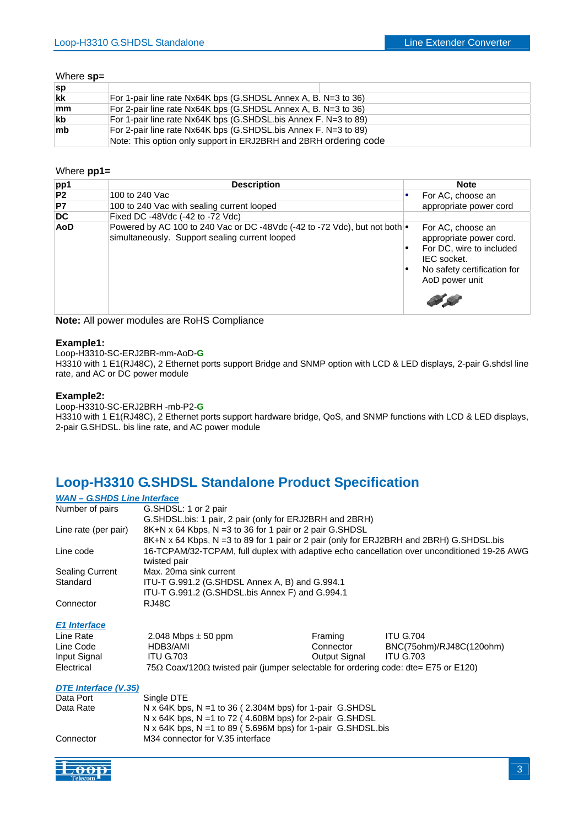#### Where **sp**=

| Sp         |                                                                  |
|------------|------------------------------------------------------------------|
| <b>lkk</b> | For 1-pair line rate Nx64K bps (G.SHDSL Annex A, B. N=3 to 36)   |
| mm         | For 2-pair line rate Nx64K bps (G.SHDSL Annex A, B. N=3 to 36)   |
| <b>kb</b>  | For 1-pair line rate Nx64K bps (G.SHDSL.bis Annex F. N=3 to 89)  |
| <b>Imb</b> | For 2-pair line rate Nx64K bps (G.SHDSL.bis Annex F. N=3 to 89)  |
|            | Note: This option only support in ERJ2BRH and 2BRH ordering code |

#### Where **pp1=**

| pp1 | <b>Description</b>                                                                                                                   |   | <b>Note</b>                                                                                                                              |
|-----|--------------------------------------------------------------------------------------------------------------------------------------|---|------------------------------------------------------------------------------------------------------------------------------------------|
| P2  | 100 to 240 Vac                                                                                                                       |   | For AC, choose an                                                                                                                        |
| P7  | 100 to 240 Vac with sealing current looped                                                                                           |   | appropriate power cord                                                                                                                   |
| DC  | Fixed DC -48Vdc (-42 to -72 Vdc)                                                                                                     |   |                                                                                                                                          |
| AoD | Powered by AC 100 to 240 Vac or DC -48Vdc (-42 to -72 Vdc), but not both $\bullet$<br>simultaneously. Support sealing current looped | ٠ | For AC, choose an<br>appropriate power cord.<br>For DC, wire to included<br>IEC socket.<br>No safety certification for<br>AoD power unit |

**Note:** All power modules are RoHS Compliance

#### **Example1:**

Loop-H3310-SC-ERJ2BR-mm-AoD-**G** 

H3310 with 1 E1(RJ48C), 2 Ethernet ports support Bridge and SNMP option with LCD & LED displays, 2-pair G.shdsl line rate, and AC or DC power module

#### **Example2:**

Loop-H3310-SC-ERJ2BRH -mb-P2-**G** 

H3310 with 1 E1(RJ48C), 2 Ethernet ports support hardware bridge, QoS, and SNMP functions with LCD & LED displays, 2-pair G.SHDSL. bis line rate, and AC power module

## **Loop-H3310 G.SHDSL Standalone Product Specification**

#### *WAN – G.SHDS Line Interface*

| Number of pairs        | G.SHDSL: 1 or 2 pair                                                                        |
|------------------------|---------------------------------------------------------------------------------------------|
|                        | G.SHDSL.bis: 1 pair, 2 pair (only for ERJ2BRH and 2BRH)                                     |
| Line rate (per pair)   | 8K+N x 64 Kbps, N = 3 to 36 for 1 pair or 2 pair G.SHDSL                                    |
|                        | 8K+N x 64 Kbps, N = 3 to 89 for 1 pair or 2 pair (only for ERJ2BRH and 2BRH) G.SHDSL.bis    |
| Line code              | 16-TCPAM/32-TCPAM, full duplex with adaptive echo cancellation over unconditioned 19-26 AWG |
|                        | twisted pair                                                                                |
| <b>Sealing Current</b> | Max. 20ma sink current                                                                      |
| Standard               | ITU-T G.991.2 (G.SHDSL Annex A, B) and G.994.1                                              |
|                        | ITU-T G.991.2 (G.SHDSL.bis Annex F) and G.994.1                                             |
| Connector              | RJ48C                                                                                       |

#### *E1 Interface*

| Line Rate    | 2.048 Mbps $\pm$ 50 ppm                                                                           | Framing       | <b>ITU G.704</b>         |
|--------------|---------------------------------------------------------------------------------------------------|---------------|--------------------------|
| Line Code    | HDB3/AMI                                                                                          | Connector     | BNC(75ohm)/RJ48C(120ohm) |
| Input Signal | ITU G.703                                                                                         | Output Signal | <b>ITU G.703</b>         |
| Electrical   | $75\Omega$ Coax/120 $\Omega$ twisted pair (jumper selectable for ordering code: dte= E75 or E120) |               |                          |

#### *DTE Interface (V.35)*

| Data Port | Single DTE                                                   |
|-----------|--------------------------------------------------------------|
| Data Rate | N x 64K bps, N = 1 to 36 (2.304M bps) for 1-pair G.SHDSL     |
|           | N x 64K bps, N = 1 to 72 (4.608M bps) for 2-pair G.SHDSL     |
|           | N x 64K bps, N = 1 to 89 (5.696M bps) for 1-pair G.SHDSL.bis |
| Connector | M34 connector for V.35 interface                             |

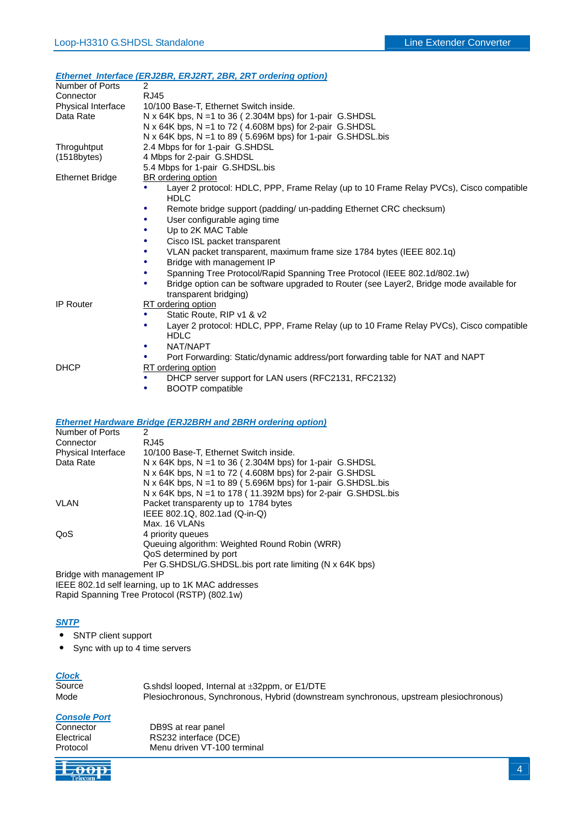#### *Ethernet Interface (ERJ2BR, ERJ2RT, 2BR, 2RT ordering option)*

| Number of Ports        | $\overline{2}$                                                                                                   |  |  |
|------------------------|------------------------------------------------------------------------------------------------------------------|--|--|
| Connector              | <b>RJ45</b>                                                                                                      |  |  |
| Physical Interface     | 10/100 Base-T, Ethernet Switch inside.                                                                           |  |  |
| Data Rate              | N x 64K bps, N = 1 to 36 (2.304M bps) for 1-pair G.SHDSL                                                         |  |  |
|                        | N x 64K bps, N = 1 to 72 (4.608M bps) for 2-pair G.SHDSL                                                         |  |  |
|                        | N x 64K bps, N = 1 to 89 (5.696M bps) for 1-pair G.SHDSL.bis                                                     |  |  |
| Throguhtput            | 2.4 Mbps for for 1-pair G.SHDSL                                                                                  |  |  |
| $(1518$ bytes $)$      | 4 Mbps for 2-pair G.SHDSL                                                                                        |  |  |
|                        | 5.4 Mbps for 1-pair G.SHDSL.bis                                                                                  |  |  |
| <b>Ethernet Bridge</b> | <b>BR</b> ordering option                                                                                        |  |  |
|                        | Layer 2 protocol: HDLC, PPP, Frame Relay (up to 10 Frame Relay PVCs), Cisco compatible<br><b>HDLC</b>            |  |  |
|                        | Remote bridge support (padding/ un-padding Ethernet CRC checksum)                                                |  |  |
|                        | User configurable aging time                                                                                     |  |  |
|                        | Up to 2K MAC Table                                                                                               |  |  |
|                        | Cisco ISL packet transparent                                                                                     |  |  |
|                        | VLAN packet transparent, maximum frame size 1784 bytes (IEEE 802.1q)                                             |  |  |
|                        | Bridge with management IP                                                                                        |  |  |
|                        | Spanning Tree Protocol/Rapid Spanning Tree Protocol (IEEE 802.1d/802.1w)                                         |  |  |
|                        | Bridge option can be software upgraded to Router (see Layer2, Bridge mode available for<br>transparent bridging) |  |  |
| IP Router              | RT ordering option                                                                                               |  |  |
|                        | Static Route, RIP v1 & v2<br>٠                                                                                   |  |  |
|                        | Layer 2 protocol: HDLC, PPP, Frame Relay (up to 10 Frame Relay PVCs), Cisco compatible                           |  |  |
|                        | <b>HDLC</b>                                                                                                      |  |  |
|                        | NAT/NAPT<br>٠                                                                                                    |  |  |
|                        | Port Forwarding: Static/dynamic address/port forwarding table for NAT and NAPT                                   |  |  |
| <b>DHCP</b>            | RT ordering option                                                                                               |  |  |
|                        | DHCP server support for LAN users (RFC2131, RFC2132)<br>٠                                                        |  |  |

• BOOTP compatible

#### *Ethernet Hardware Bridge (ERJ2BRH and 2BRH ordering option)*

| Number of Ports           | 2                                                              |
|---------------------------|----------------------------------------------------------------|
| Connector                 | RJ45                                                           |
| <b>Physical Interface</b> | 10/100 Base-T. Ethernet Switch inside.                         |
| Data Rate                 | N x 64K bps, N = 1 to 36 (2.304M bps) for 1-pair G.SHDSL       |
|                           | N x 64K bps, N = 1 to 72 (4.608M bps) for 2-pair G.SHDSL       |
|                           | N x 64K bps, N = 1 to 89 (5.696M bps) for 1-pair G.SHDSL.bis   |
|                           | N x 64K bps, N = 1 to 178 (11.392M bps) for 2-pair G.SHDSL.bis |
| VLAN                      | Packet transparenty up to 1784 bytes                           |
|                           | IEEE 802.1Q, 802.1ad (Q-in-Q)                                  |
|                           | Max. 16 VLANs                                                  |
| QoS                       | 4 priority queues                                              |
|                           | Queuing algorithm: Weighted Round Robin (WRR)                  |
|                           | QoS determined by port                                         |
|                           | Per G.SHDSL/G.SHDSL.bis port rate limiting (N x 64K bps)       |
| Rridge with management IP |                                                                |

Bridge with management IP

IEEE 802.1d self learning, up to 1K MAC addresses

## Rapid Spanning Tree Protocol (RSTP) (802.1w)

#### *SNTP*

- ․ SNTP client support
- Sync with up to 4 time servers

#### *Clock*

| Source | G.shdsl looped, Internal at $\pm 32$ ppm, or E1/DTE                                   |
|--------|---------------------------------------------------------------------------------------|
| Mode   | Plesiochronous, Synchronous, Hybrid (downstream synchronous, upstream plesiochronous) |

#### *Console Port*

| Connector  |  |
|------------|--|
| Electrical |  |
| Protocol   |  |

DB9S at rear panel RS232 interface (DCE) Menu driven VT-100 terminal

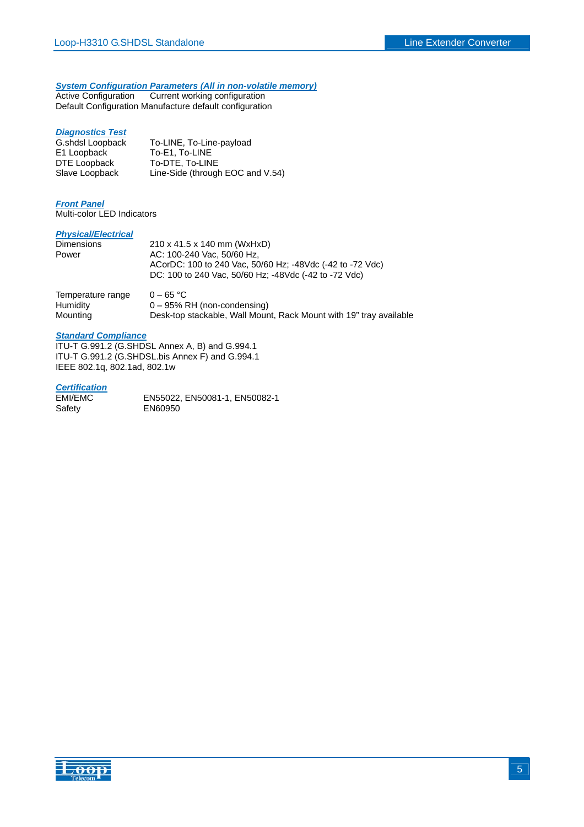## *System Configuration Parameters (All in non-volatile memory)*

Active Configuration Current working configuration Default Configuration Manufacture default configuration

#### *Diagnostics Test*

G.shdsl Loopback To-LINE, To-Line-payload<br>E1 Loopback To-E1, To-LINE E1 Loopback To-E1, To-LINE<br>DTE Loopback To-DTE, To-LIN To-DTE, To-LINE Slave Loopback Line-Side (through EOC and V.54)

#### *Front Panel*

Multi-color LED Indicators

#### *Physical/Electrical*

| <b>Dimensions</b> | 210 x 41.5 x 140 mm (WxHxD)                                                                                        |
|-------------------|--------------------------------------------------------------------------------------------------------------------|
| Power             | AC: 100-240 Vac. 50/60 Hz.                                                                                         |
|                   | ACorDC: 100 to 240 Vac, 50/60 Hz; -48Vdc (-42 to -72 Vdc)<br>DC: 100 to 240 Vac, 50/60 Hz; -48Vdc (-42 to -72 Vdc) |
| Tamparatura ranga | CE OC                                                                                                              |

| Temperature range | $0 - 65 °C$                                                        |
|-------------------|--------------------------------------------------------------------|
| Humidity          | $0 - 95\%$ RH (non-condensing)                                     |
| Mounting          | Desk-top stackable, Wall Mount, Rack Mount with 19" tray available |

#### *Standard Compliance*

ITU-T G.991.2 (G.SHDSL Annex A, B) and G.994.1 ITU-T G.991.2 (G.SHDSL.bis Annex F) and G.994.1 IEEE 802.1q, 802.1ad, 802.1w

#### *Certification*

| EMI/EMC | EN55022, EN50081-1, EN50082-1 |
|---------|-------------------------------|
| Safety  | EN60950                       |

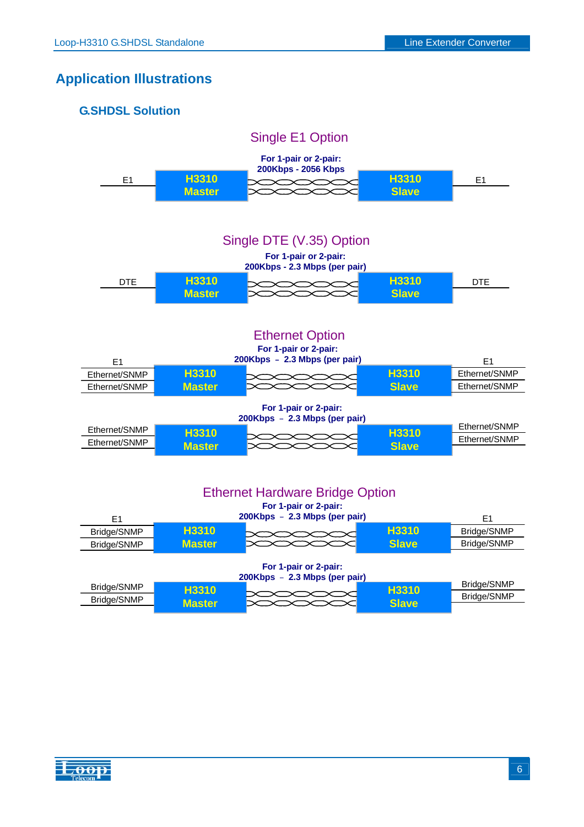## **Application Illustrations**

| <b>G.SHDSL Solution</b> |                               |                                                                 |                       |               |
|-------------------------|-------------------------------|-----------------------------------------------------------------|-----------------------|---------------|
|                         |                               | Single E1 Option                                                |                       |               |
|                         |                               | For 1-pair or 2-pair:<br>200Kbps - 2056 Kbps                    |                       |               |
| E1                      | H3310                         |                                                                 | H3310                 | E1            |
|                         | <b>Master</b>                 |                                                                 | <b>Slave</b>          |               |
|                         |                               |                                                                 |                       |               |
|                         |                               | Single DTE (V.35) Option                                        |                       |               |
|                         |                               | For 1-pair or 2-pair:                                           |                       |               |
|                         |                               | 200Kbps - 2.3 Mbps (per pair)                                   |                       |               |
| <b>DTE</b>              | H3310<br><b>Master</b>        |                                                                 | H3310<br><b>Slave</b> | DTE           |
|                         |                               |                                                                 |                       |               |
|                         |                               |                                                                 |                       |               |
|                         |                               | <b>Ethernet Option</b>                                          |                       |               |
|                         |                               | For 1-pair or 2-pair:                                           |                       |               |
| E1                      |                               | 200Kbps - 2.3 Mbps (per pair)                                   |                       | E1            |
| Ethernet/SNMP           | <b>H3310</b>                  |                                                                 | H3310                 | Ethernet/SNMP |
| Ethernet/SNMP           | <b>Master</b>                 |                                                                 | <b>Slave</b>          | Ethernet/SNMP |
|                         |                               | For 1-pair or 2-pair:                                           |                       |               |
| Ethernet/SNMP           |                               | 200Kbps - 2.3 Mbps (per pair)                                   |                       | Ethernet/SNMP |
| Ethernet/SNMP           | <b>H3310</b><br><b>Master</b> |                                                                 | H3310<br><b>Slave</b> | Ethernet/SNMP |
|                         |                               |                                                                 |                       |               |
|                         |                               |                                                                 |                       |               |
|                         |                               |                                                                 |                       |               |
|                         |                               | <b>Ethernet Hardware Bridge Option</b><br>For 1-pair or 2-pair: |                       |               |
| E1                      |                               | 200Kbps - 2.3 Mbps (per pair)                                   |                       | E1            |
| Bridge/SNMP             | <b>H3310</b>                  |                                                                 | H3310                 | Bridge/SNMP   |
| Bridge/SNMP             | <b>Master</b>                 |                                                                 | <b>Slave</b>          | Bridge/SNMP   |
|                         |                               |                                                                 |                       |               |

## **For 1-pair or 2-pair:**

|             |               | 200Kbps - 2.3 Mbps (per pair) |              |             |
|-------------|---------------|-------------------------------|--------------|-------------|
| Bridge/SNMP | <b>H3310</b>  |                               | <b>H3310</b> | Bridge/SNMP |
| Bridge/SNMP |               |                               |              | Bridge/SNMP |
|             | <b>Master</b> |                               | Slave        |             |